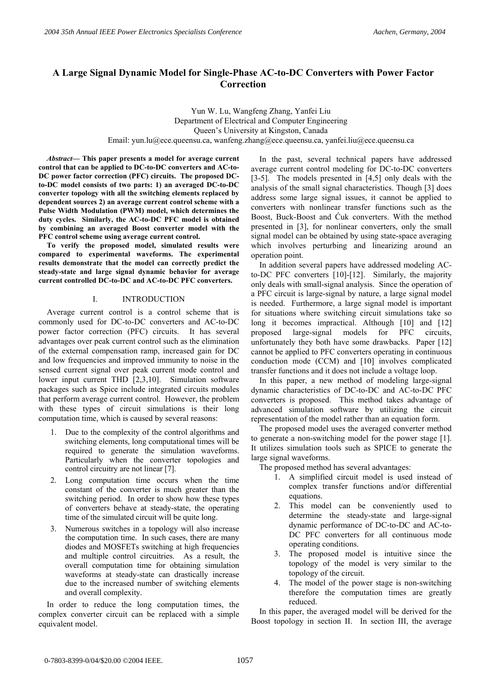# **A Large Signal Dynamic Model for Single-Phase AC-to-DC Converters with Power Factor Correction**

Yun W. Lu, Wangfeng Zhang, Yanfei Liu Department of Electrical and Computer Engineering Queen's University at Kingston, Canada Email: yun.lu@ece.queensu.ca, wanfeng.zhang@ece.queensu.ca, yanfei.liu@ece.queensu.ca

*Abstract***— This paper presents a model for average current control that can be applied to DC-to-DC converters and AC-to-DC power factor correction (PFC) circuits. The proposed DCto-DC model consists of two parts: 1) an averaged DC-to-DC converter topology with all the switching elements replaced by dependent sources 2) an average current control scheme with a Pulse Width Modulation (PWM) model, which determines the duty cycles. Similarly, the AC-to-DC PFC model is obtained by combining an averaged Boost converter model with the PFC control scheme using average current control.** 

**To verify the proposed model, simulated results were compared to experimental waveforms. The experimental results demonstrate that the model can correctly predict the steady-state and large signal dynamic behavior for average current controlled DC-to-DC and AC-to-DC PFC converters.** 

# I. INTRODUCTION

Average current control is a control scheme that is commonly used for DC-to-DC converters and AC-to-DC power factor correction (PFC) circuits. It has several advantages over peak current control such as the elimination of the external compensation ramp, increased gain for DC and low frequencies and improved immunity to noise in the sensed current signal over peak current mode control and lower input current THD [2,3,10]. Simulation software packages such as Spice include integrated circuits modules that perform average current control. However, the problem with these types of circuit simulations is their long computation time, which is caused by several reasons:

- 1. Due to the complexity of the control algorithms and switching elements, long computational times will be required to generate the simulation waveforms. Particularly when the converter topologies and control circuitry are not linear [7].
- 2. Long computation time occurs when the time constant of the converter is much greater than the switching period. In order to show how these types of converters behave at steady-state, the operating time of the simulated circuit will be quite long.
- 3. Numerous switches in a topology will also increase the computation time. In such cases, there are many diodes and MOSFETs switching at high frequencies and multiple control circuitries. As a result, the overall computation time for obtaining simulation waveforms at steady-state can drastically increase due to the increased number of switching elements and overall complexity.

In order to reduce the long computation times, the complex converter circuit can be replaced with a simple equivalent model.

In the past, several technical papers have addressed average current control modeling for DC-to-DC converters [3-5]. The models presented in [4,5] only deals with the analysis of the small signal characteristics. Though [3] does address some large signal issues, it cannot be applied to converters with nonlinear transfer functions such as the Boost, Buck-Boost and Ćuk converters. With the method presented in [3], for nonlinear converters, only the small signal model can be obtained by using state-space averaging which involves perturbing and linearizing around an operation point.

In addition several papers have addressed modeling ACto-DC PFC converters [10]-[12]. Similarly, the majority only deals with small-signal analysis. Since the operation of a PFC circuit is large-signal by nature, a large signal model is needed. Furthermore, a large signal model is important for situations where switching circuit simulations take so long it becomes impractical. Although [10] and [12] proposed large-signal models for PFC circuits, unfortunately they both have some drawbacks. Paper [12] cannot be applied to PFC converters operating in continuous conduction mode (CCM) and [10] involves complicated transfer functions and it does not include a voltage loop.

In this paper, a new method of modeling large-signal dynamic characteristics of DC-to-DC and AC-to-DC PFC converters is proposed. This method takes advantage of advanced simulation software by utilizing the circuit representation of the model rather than an equation form.

The proposed model uses the averaged converter method to generate a non-switching model for the power stage [1]. It utilizes simulation tools such as SPICE to generate the large signal waveforms.

The proposed method has several advantages:

- 1. A simplified circuit model is used instead of complex transfer functions and/or differential equations.
- 2. This model can be conveniently used to determine the steady-state and large-signal dynamic performance of DC-to-DC and AC-to-DC PFC converters for all continuous mode operating conditions.
- 3. The proposed model is intuitive since the topology of the model is very similar to the topology of the circuit.
- 4. The model of the power stage is non-switching therefore the computation times are greatly reduced.

In this paper, the averaged model will be derived for the Boost topology in section II. In section III, the average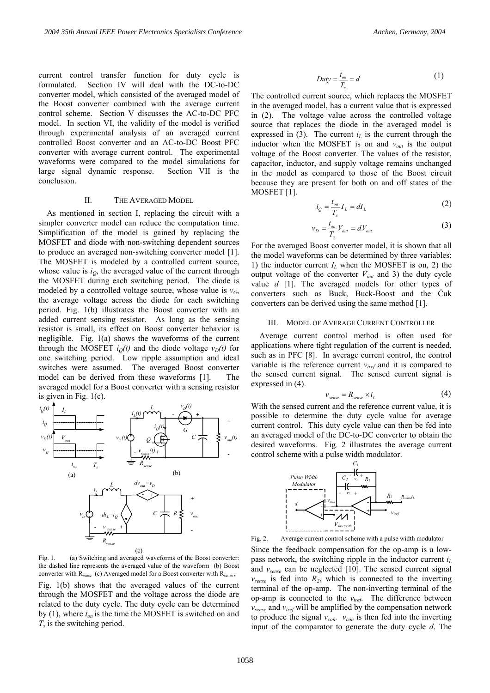current control transfer function for duty cycle is formulated. Section IV will deal with the DC-to-DC converter model, which consisted of the averaged model of the Boost converter combined with the average current control scheme. Section V discusses the AC-to-DC PFC model. In section VI, the validity of the model is verified through experimental analysis of an averaged current controlled Boost converter and an AC-to-DC Boost PFC converter with average current control. The experimental waveforms were compared to the model simulations for large signal dynamic response. Section VII is the conclusion.

#### II. THE AVERAGED MODEL

As mentioned in section I, replacing the circuit with a simpler converter model can reduce the computation time. Simplification of the model is gained by replacing the MOSFET and diode with non-switching dependent sources to produce an averaged non-switching converter model [1]. The MOSFET is modeled by a controlled current source, whose value is  $i<sub>0</sub>$ , the averaged value of the current through the MOSFET during each switching period. The diode is modeled by a controlled voltage source, whose value is  $v_G$ , the average voltage across the diode for each switching period. Fig. 1(b) illustrates the Boost converter with an added current sensing resistor. As long as the sensing resistor is small, its effect on Boost converter behavior is negligible. Fig. 1(a) shows the waveforms of the current through the MOSFET  $i<sub>O</sub>(t)$  and the diode voltage  $v<sub>D</sub>(t)$  for one switching period. Low ripple assumption and ideal switches were assumed. The averaged Boost converter model can be derived from these waveforms [1]. The averaged model for a Boost converter with a sensing resistor is given in Fig. 1(c).



Fig. 1. (a) Switching and averaged waveforms of the Boost converter: the dashed line represents the averaged value of the waveform (b) Boost converter with R<sub>sense</sub> (c) Averaged model for a Boost converter with R<sub>sense</sub>,

Fig. 1(b) shows that the averaged values of the current through the MOSFET and the voltage across the diode are related to the duty cycle. The duty cycle can be determined by (1), where  $t_{on}$  is the time the MOSFET is switched on and *Ts* is the switching period.

$$
Duty = \frac{t_{on}}{T_s} = d \tag{1}
$$

The controlled current source, which replaces the MOSFET in the averaged model, has a current value that is expressed in (2). The voltage value across the controlled voltage source that replaces the diode in the averaged model is expressed in  $(3)$ . The current  $i<sub>L</sub>$  is the current through the inductor when the MOSFET is on and  $v_{out}$  is the output voltage of the Boost converter. The values of the resistor, capacitor, inductor, and supply voltage remains unchanged in the model as compared to those of the Boost circuit because they are present for both on and off states of the MOSFET [1].

$$
i_Q = \frac{t_{on}}{T_s} I_L = dI_L \tag{2}
$$

$$
v_D = \frac{t_{on}}{T_s} V_{out} = dV_{out} \tag{3}
$$

For the averaged Boost converter model, it is shown that all the model waveforms can be determined by three variables: 1) the inductor current  $I_L$  when the MOSFET is on, 2) the output voltage of the converter  $V_{out}$  and 3) the duty cycle value *d* [1]. The averaged models for other types of converters such as Buck, Buck-Boost and the Ćuk converters can be derived using the same method [1].

## III. MODEL OF AVERAGE CURRENT CONTROLLER

Average current control method is often used for applications where tight regulation of the current is needed, such as in PFC [8]. In average current control, the control variable is the reference current *viref* and it is compared to the sensed current signal. The sensed current signal is expressed in (4).

$$
v_{\text{sense}} = R_{\text{sense}} \times i_L \tag{4}
$$

With the sensed current and the reference current value, it is possible to determine the duty cycle value for average current control. This duty cycle value can then be fed into an averaged model of the DC-to-DC converter to obtain the desired waveforms. Fig. 2 illustrates the average current control scheme with a pulse width modulator.



Fig. 2. Average current control scheme with a pulse width modulator

Since the feedback compensation for the op-amp is a lowpass network, the switching ripple in the inductor current *iL* and *vsense* can be neglected [10]. The sensed current signal  $v_{\text{sense}}$  is fed into  $R_2$ , which is connected to the inverting terminal of the op-amp. The non-inverting terminal of the op-amp is connected to the *viref*. The difference between *vsense* and *viref* will be amplified by the compensation network to produce the signal  $v_{con}$ .  $v_{con}$  is then fed into the inverting input of the comparator to generate the duty cycle *d*. The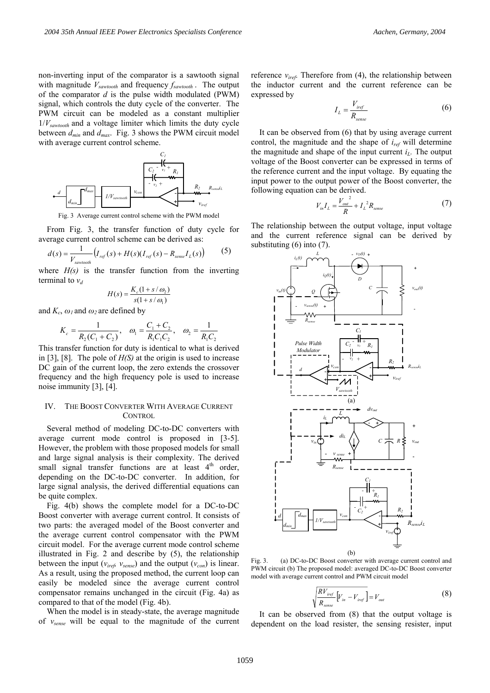non-inverting input of the comparator is a sawtooth signal with magnitude *Vsawtooth* and frequency *fsawtooth* . The output of the comparator *d* is the pulse width modulated (PWM) signal, which controls the duty cycle of the converter. The PWM circuit can be modeled as a constant multiplier  $1/V_{sawtooth}$  and a voltage limiter which limits the duty cycle between *dmin* and *dmax*. Fig. 3 shows the PWM circuit model with average current control scheme.



Fig. 3 Average current control scheme with the PWM model

From Fig. 3, the transfer function of duty cycle for average current control scheme can be derived as:

$$
d(s) = \frac{1}{V_{\text{sawtooth}}} \left( I_{\text{ref}}(s) + H(s) (I_{\text{ref}}(s) - R_{\text{sense}} I_L(s)) \right) \tag{5}
$$

where  $H(s)$  is the transfer function from the inverting terminal to  $v_d$ 

$$
H(s) = \frac{K_c(1 + s/\omega_2)}{s(1 + s/\omega_1)}
$$

and  $K_c$ ,  $\omega_l$  and  $\omega_2$  are defined by

$$
K_c = \frac{1}{R_2(C_1 + C_2)}, \quad \omega_1 = \frac{C_1 + C_2}{R_1 C_1 C_2}, \quad \omega_2 = \frac{1}{R_1 C_2}
$$

This transfer function for duty is identical to what is derived in [3], [8]. The pole of *H(S)* at the origin is used to increase DC gain of the current loop, the zero extends the crossover frequency and the high frequency pole is used to increase noise immunity [3], [4].

## IV. THE BOOST CONVERTER WITH AVERAGE CURRENT CONTROL

Several method of modeling DC-to-DC converters with average current mode control is proposed in [3-5]. However, the problem with those proposed models for small and large signal analysis is their complexity. The derived small signal transfer functions are at least  $4<sup>th</sup>$  order, depending on the DC-to-DC converter. In addition, for large signal analysis, the derived differential equations can be quite complex.

Fig. 4(b) shows the complete model for a DC-to-DC Boost converter with average current control. It consists of two parts: the averaged model of the Boost converter and the average current control compensator with the PWM circuit model. For the average current mode control scheme illustrated in Fig. 2 and describe by (5), the relationship between the input ( $v_{iref}$ ,  $v_{sense}$ ) and the output ( $v_{con}$ ) is linear. As a result, using the proposed method, the current loop can easily be modeled since the average current control compensator remains unchanged in the circuit (Fig. 4a) as compared to that of the model (Fig. 4b).

When the model is in steady-state, the average magnitude of *vsense* will be equal to the magnitude of the current reference  $v_{iref}$ . Therefore from  $(4)$ , the relationship between the inductor current and the current reference can be expressed by

$$
I_L = \frac{V_{\text{iref}}}{R_{\text{sense}}} \tag{6}
$$

It can be observed from (6) that by using average current control, the magnitude and the shape of *iref* will determine the magnitude and shape of the input current  $i_l$ . The output voltage of the Boost converter can be expressed in terms of the reference current and the input voltage. By equating the input power to the output power of the Boost converter, the following equation can be derived.

$$
V_{in}I_L = \frac{V_{out}^2}{R} + I_L^2 R_{sense}
$$
 (7)

The relationship between the output voltage, input voltage and the current reference signal can be derived by substituting (6) into (7).



Fig. 3. (a) DC-to-DC Boost converter with average current control and PWM circuit (b) The proposed model: averaged DC-to-DC Boost converter model with average current control and PWM circuit model

$$
\sqrt{\frac{RV_{iref}}{R_{sense}}\left[V_{in} - V_{iref}\right]} = V_{out}
$$
\n(8)

It can be observed from (8) that the output voltage is dependent on the load resister, the sensing resister, input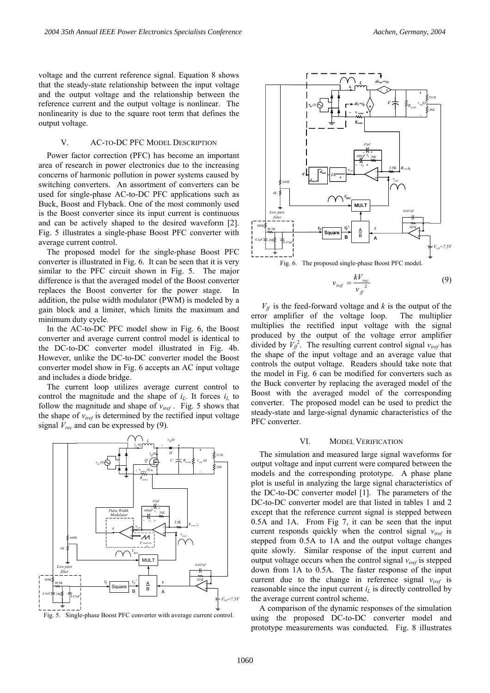voltage and the current reference signal. Equation 8 shows that the steady-state relationship between the input voltage and the output voltage and the relationship between the reference current and the output voltage is nonlinear. The nonlinearity is due to the square root term that defines the output voltage.

## V. AC-TO-DC PFC MODEL DESCRIPTION

Power factor correction (PFC) has become an important area of research in power electronics due to the increasing concerns of harmonic pollution in power systems caused by switching converters. An assortment of converters can be used for single-phase AC-to-DC PFC applications such as Buck, Boost and Flyback. One of the most commonly used is the Boost converter since its input current is continuous and can be actively shaped to the desired waveform [2]. Fig. 5 illustrates a single-phase Boost PFC converter with average current control.

The proposed model for the single-phase Boost PFC converter is illustrated in Fig. 6. It can be seen that it is very similar to the PFC circuit shown in Fig. 5. The major difference is that the averaged model of the Boost converter replaces the Boost converter for the power stage. In addition, the pulse width modulator (PWM) is modeled by a gain block and a limiter, which limits the maximum and minimum duty cycle.

In the AC-to-DC PFC model show in Fig. 6, the Boost converter and average current control model is identical to the DC-to-DC converter model illustrated in Fig. 4b. However, unlike the DC-to-DC converter model the Boost converter model show in Fig. 6 accepts an AC input voltage and includes a diode bridge.

The current loop utilizes average current control to control the magnitude and the shape of  $i_L$ . It forces  $i_L$  to follow the magnitude and shape of  $v_{ref}$ . Fig. 5 shows that the shape of *viref* is determined by the rectified input voltage signal *Vrec* and can be expressed by (9)*.* 



Fig. 5. Single-phase Boost PFC converter with average current control.



$$
v_{\text{iref}} = \frac{kV_{\text{rec}}}{v_{\text{ff}}^2} \tag{9}
$$

 $V_f$  is the feed-forward voltage and *k* is the output of the error amplifier of the voltage loop. The multiplier multiplies the rectified input voltage with the signal produced by the output of the voltage error amplifier divided by  $V_f^2$ . The resulting current control signal  $v_{iref}$  has the shape of the input voltage and an average value that controls the output voltage. Readers should take note that the model in Fig. 6 can be modified for converters such as the Buck converter by replacing the averaged model of the Boost with the averaged model of the corresponding converter. The proposed model can be used to predict the steady-state and large-signal dynamic characteristics of the PFC converter.

### VI. MODEL VERIFICATION

The simulation and measured large signal waveforms for output voltage and input current were compared between the models and the corresponding prototype. A phase plane plot is useful in analyzing the large signal characteristics of the DC-to-DC converter model [1]. The parameters of the DC-to-DC converter model are that listed in tables 1 and 2 except that the reference current signal is stepped between 0.5A and 1A. From Fig 7, it can be seen that the input current responds quickly when the control signal *viref* is stepped from 0.5A to 1A and the output voltage changes quite slowly. Similar response of the input current and output voltage occurs when the control signal *viref* is stepped down from 1A to 0.5A. The faster response of the input current due to the change in reference signal  $v_{iret}$  is reasonable since the input current  $i_l$  is directly controlled by the average current control scheme.

A comparison of the dynamic responses of the simulation using the proposed DC-to-DC converter model and prototype measurements was conducted. Fig. 8 illustrates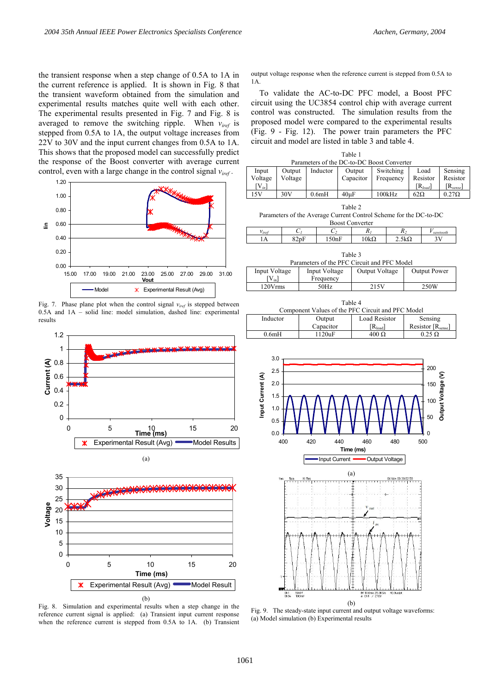the transient response when a step change of 0.5A to 1A in the current reference is applied. It is shown in Fig. 8 that the transient waveform obtained from the simulation and experimental results matches quite well with each other. The experimental results presented in Fig. 7 and Fig. 8 is averaged to remove the switching ripple. When *viref* is stepped from 0.5A to 1A, the output voltage increases from 22V to 30V and the input current changes from 0.5A to 1A. This shows that the proposed model can successfully predict the response of the Boost converter with average current control, even with a large change in the control signal *viref .*



Fig. 7. Phase plane plot when the control signal *viref* is stepped between 0.5A and 1A – solid line: model simulation, dashed line: experimental results



(b) Fig. 8. Simulation and experimental results when a step change in the reference current signal is applied: (a) Transient input current response when the reference current is stepped from 0.5A to 1A. (b) Transient

 $\mathbf x$ 

Experimental Result (Avg) Model Result

output voltage response when the reference current is stepped from 0.5A to 1A.

To validate the AC-to-DC PFC model, a Boost PFC circuit using the UC3854 control chip with average current control was constructed. The simulation results from the proposed model were compared to the experimental results (Fig. 9 - Fig. 12). The power train parameters the PFC circuit and model are listed in table 3 and table 4.

|                                                                                                                                                                                                                   |                   |                                                             | Parameters of the DC-to-DC Boost Converter | Table 1 |                                                                                                    |        |                        |                             |                                         |  |                                      |  |
|-------------------------------------------------------------------------------------------------------------------------------------------------------------------------------------------------------------------|-------------------|-------------------------------------------------------------|--------------------------------------------|---------|----------------------------------------------------------------------------------------------------|--------|------------------------|-----------------------------|-----------------------------------------|--|--------------------------------------|--|
| Input<br>Voltage<br>$[V_{in}]$                                                                                                                                                                                    | Output<br>Voltage |                                                             | Inductor                                   |         | Output<br>Capacitor                                                                                |        | Switching<br>Frequency |                             | Load<br>Resistor<br>$[R_{load}]$        |  | Sensing<br>Resistor<br>$[R_{sense}]$ |  |
| 15V                                                                                                                                                                                                               | 30V               | 0.6mH                                                       |                                            |         | $40\mu F$                                                                                          |        | 100kHz                 |                             | $62\Omega$                              |  | $0.27\Omega$                         |  |
| Table 2<br>Parameters of the Average Current Control Scheme for the DC-to-DC<br><b>Boost Converter</b>                                                                                                            |                   |                                                             |                                            |         |                                                                                                    |        |                        |                             |                                         |  |                                      |  |
| $C_I$<br>V <sub>iref</sub>                                                                                                                                                                                        |                   |                                                             | C <sub>2</sub>                             |         | $R_I$                                                                                              |        | $R_{2}$                |                             | $V_{\textit{sawtooth}}$                 |  |                                      |  |
| 82pF<br>1Α                                                                                                                                                                                                        |                   | 150nF                                                       |                                            |         | $10k\Omega$                                                                                        |        | $2.5k\Omega$           |                             | 3V                                      |  |                                      |  |
| <b>Input Voltage</b><br>$[V_{in}]$<br>120Vrms                                                                                                                                                                     |                   |                                                             | <b>Input Voltage</b><br>Frequency<br>50Hz  |         | Table 3<br>Parameters of the PFC Circuit and PFC Model<br><b>Output Voltage</b><br>215V<br>Table 4 |        |                        | <b>Output Power</b><br>250W |                                         |  |                                      |  |
|                                                                                                                                                                                                                   |                   |                                                             |                                            |         |                                                                                                    |        |                        |                             |                                         |  |                                      |  |
| Inductor                                                                                                                                                                                                          |                   | Component Values of the PFC Circuit and PFC Model<br>Output |                                            |         | <b>Load Resistor</b>                                                                               |        |                        | Sensing                     |                                         |  |                                      |  |
|                                                                                                                                                                                                                   |                   | Capacitor                                                   |                                            |         |                                                                                                    |        | $[R_{load}]$           |                             | Resistor <sub>[R<sub>sense</sub>]</sub> |  |                                      |  |
| 0.6mH                                                                                                                                                                                                             |                   |                                                             | 1120uF                                     |         | $400 \Omega$                                                                                       |        |                        | $0.25 \Omega$               |                                         |  |                                      |  |
| 3.0<br>200<br>2.5<br>Input Current (A)<br>Output Voltage (V<br>2.0<br>150<br>1.5<br>100<br>1.0<br>50<br>0.5<br>0.0<br>0<br>440<br>460<br>400<br>420<br>480<br>500<br>Time (ms)<br>Input Current<br>Output Voltage |                   |                                                             |                                            |         |                                                                                                    |        |                        |                             |                                         |  |                                      |  |
|                                                                                                                                                                                                                   | Tek<br>Run        | Hi Br                                                       |                                            | (a)     | v<br>out                                                                                           | i<br>m | 04 Nov 03 20:02:58     |                             |                                         |  |                                      |  |

Fig. 9. The steady-state input current and output voltage waveforms: (a) Model simulation (b) Experimental results

(b)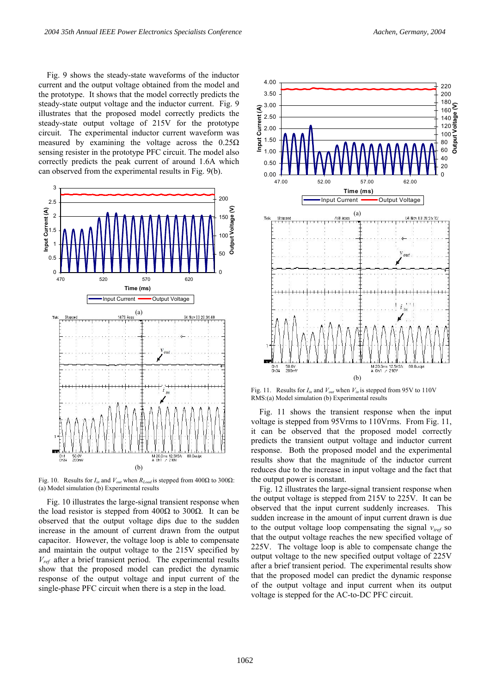Fig. 9 shows the steady-state waveforms of the inductor current and the output voltage obtained from the model and the prototype. It shows that the model correctly predicts the steady-state output voltage and the inductor current. Fig. 9 illustrates that the proposed model correctly predicts the steady-state output voltage of 215V for the prototype circuit. The experimental inductor current waveform was measured by examining the voltage across the  $0.25\Omega$ sensing resister in the prototype PFC circuit. The model also correctly predicts the peak current of around 1.6A which can observed from the experimental results in Fig. 9(b).



Fig. 10. Results for  $I_{in}$  and  $V_{out}$  when  $R_{Load}$  is stepped from 400Ω to 300Ω: (a) Model simulation (b) Experimental results

Fig. 10 illustrates the large-signal transient response when the load resistor is stepped from 400Ω to 300Ω. It can be observed that the output voltage dips due to the sudden increase in the amount of current drawn from the output capacitor. However, the voltage loop is able to compensate and maintain the output voltage to the 215V specified by *Vref* after a brief transient period. The experimental results show that the proposed model can predict the dynamic response of the output voltage and input current of the single-phase PFC circuit when there is a step in the load.



Fig. 11. Results for  $I_{in}$  and  $V_{out}$  when  $V_{in}$  is stepped from 95V to 110V RMS:(a) Model simulation (b) Experimental results

Fig. 11 shows the transient response when the input voltage is stepped from 95Vrms to 110Vrms. From Fig. 11, it can be observed that the proposed model correctly predicts the transient output voltage and inductor current response. Both the proposed model and the experimental results show that the magnitude of the inductor current reduces due to the increase in input voltage and the fact that the output power is constant.

Fig. 12 illustrates the large-signal transient response when the output voltage is stepped from 215V to 225V. It can be observed that the input current suddenly increases. This sudden increase in the amount of input current drawn is due to the output voltage loop compensating the signal *viref* so that the output voltage reaches the new specified voltage of 225V. The voltage loop is able to compensate change the output voltage to the new specified output voltage of 225V after a brief transient period. The experimental results show that the proposed model can predict the dynamic response of the output voltage and input current when its output voltage is stepped for the AC-to-DC PFC circuit.